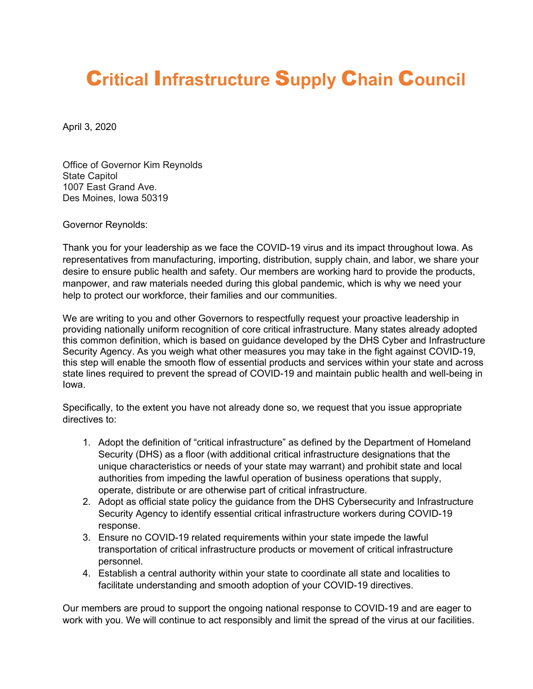## C**ritical** I**nfrastructure** S**upply** C**hain** C**ouncil**

April 3, 2020

Office of Governor Kim Reynolds State Capitol 1007 East Grand Ave. Des Moines, Iowa 50319

Governor Reynolds:

Thank you for your leadership as we face the COVID-19 virus and its impact throughout Iowa. As representatives from manufacturing, importing, distribution, supply chain, and labor, we share your desire to ensure public health and safety. Our members are working hard to provide the products, manpower, and raw materials needed during this global pandemic, which is why we need your help to protect our workforce, their families and our communities.

We are writing to you and other Governors to respectfully request your proactive leadership in providing nationally uniform recognition of core critical infrastructure. Many states already adopted this common definition, which is based on guidance developed by the DHS Cyber and Infrastructure Security Agency. As you weigh what other measures you may take in the fight against COVID-19, this step will enable the smooth flow of essential products and services within your state and across state lines required to prevent the spread of COVID-19 and maintain public health and well-being in Iowa.

Specifically, to the extent you have not already done so, we request that you issue appropriate directives to:

- 1. Adopt the definition of "critical infrastructure" as defined by the Department of Homeland Security (DHS) as a floor (with additional critical infrastructure designations that the unique characteristics or needs of your state may warrant) and prohibit state and local authorities from impeding the lawful operation of business operations that supply, operate, distribute or are otherwise part of critical infrastructure.
- 2. Adopt as official state policy the guidance from the DHS Cybersecurity and Infrastructure Security Agency to identify essential critical infrastructure workers during COVID-19 response.
- 3. Ensure no COVID-19 related requirements within your state impede the lawful transportation of critical infrastructure products or movement of critical infrastructure personnel.
- 4. Establish a central authority within your state to coordinate all state and localities to facilitate understanding and smooth adoption of your COVID-19 directives.

Our members are proud to support the ongoing national response to COVID-19 and are eager to work with you. We will continue to act responsibly and limit the spread of the virus at our facilities.